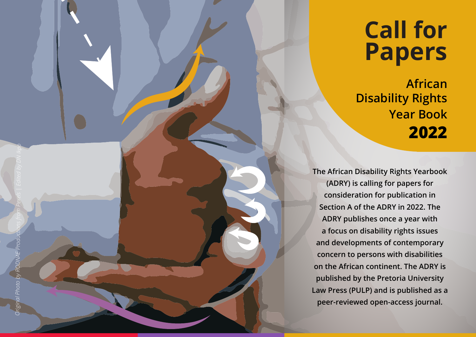## **Call for Papers**

**African Disability Rights Year Book 2022**

**The African Disability Rights Yearbook (ADRY) is calling for papers for consideration for publication in Section A of the ADRY in 2022. The ADRY publishes once a year with a focus on disability rights issues and developments of contemporary concern to persons with disabilities on the African continent. The ADRY is published by the Pretoria University Law Press (PULP) and is published as a peer-reviewed open-access journal.**